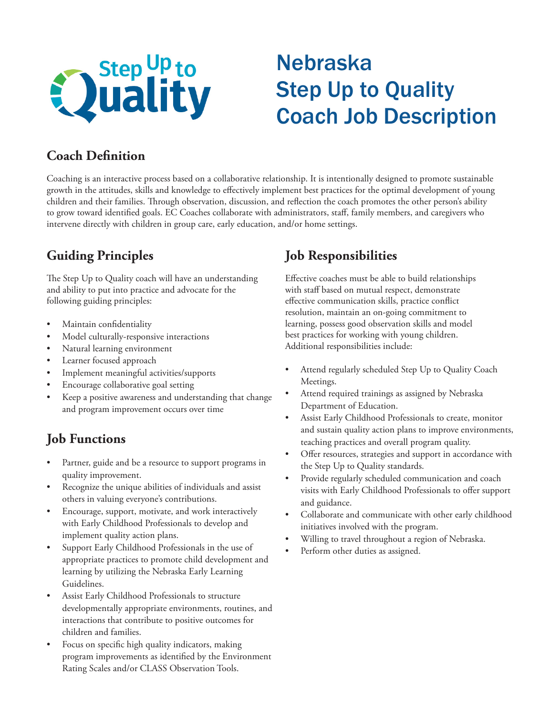

# Nebraska Step Up to Quality Coach Job Description

## **Coach Definition**

Coaching is an interactive process based on a collaborative relationship. It is intentionally designed to promote sustainable growth in the attitudes, skills and knowledge to effectively implement best practices for the optimal development of young children and their families. Through observation, discussion, and reflection the coach promotes the other person's ability to grow toward identified goals. EC Coaches collaborate with administrators, staff, family members, and caregivers who intervene directly with children in group care, early education, and/or home settings.

## **Guiding Principles**

The Step Up to Quality coach will have an understanding and ability to put into practice and advocate for the following guiding principles:

- Maintain confidentiality
- Model culturally-responsive interactions
- Natural learning environment
- Learner focused approach
- Implement meaningful activities/supports
- Encourage collaborative goal setting
- Keep a positive awareness and understanding that change and program improvement occurs over time

# **Job Functions**

- Partner, guide and be a resource to support programs in quality improvement.
- Recognize the unique abilities of individuals and assist others in valuing everyone's contributions.
- Encourage, support, motivate, and work interactively with Early Childhood Professionals to develop and implement quality action plans.
- Support Early Childhood Professionals in the use of appropriate practices to promote child development and learning by utilizing the Nebraska Early Learning Guidelines.
- Assist Early Childhood Professionals to structure developmentally appropriate environments, routines, and interactions that contribute to positive outcomes for children and families.
- Focus on specific high quality indicators, making program improvements as identified by the Environment Rating Scales and/or CLASS Observation Tools.

# **Job Responsibilities**

Effective coaches must be able to build relationships with staff based on mutual respect, demonstrate effective communication skills, practice conflict resolution, maintain an on-going commitment to learning, possess good observation skills and model best practices for working with young children. Additional responsibilities include:

- Attend regularly scheduled Step Up to Quality Coach Meetings.
- Attend required trainings as assigned by Nebraska Department of Education.
- Assist Early Childhood Professionals to create, monitor and sustain quality action plans to improve environments, teaching practices and overall program quality.
- Offer resources, strategies and support in accordance with the Step Up to Quality standards.
- Provide regularly scheduled communication and coach visits with Early Childhood Professionals to offer support and guidance.
- Collaborate and communicate with other early childhood initiatives involved with the program.
- Willing to travel throughout a region of Nebraska.
- Perform other duties as assigned.